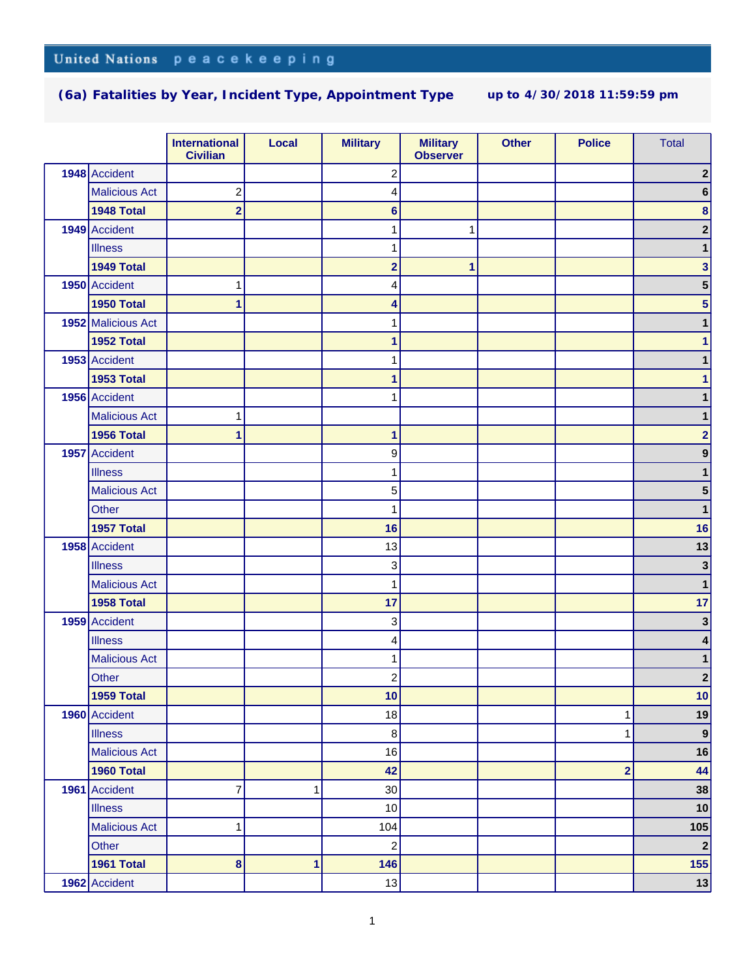|                      | <b>International</b><br><b>Civilian</b> | Local | <b>Military</b>         | <b>Military</b><br><b>Observer</b> | <b>Other</b> | <b>Police</b>           | <b>Total</b>     |
|----------------------|-----------------------------------------|-------|-------------------------|------------------------------------|--------------|-------------------------|------------------|
| 1948 Accident        |                                         |       | $\overline{\mathbf{c}}$ |                                    |              |                         | $\boldsymbol{2}$ |
| <b>Malicious Act</b> | $\overline{c}$                          |       | 4                       |                                    |              |                         | 6                |
| 1948 Total           | $\overline{\mathbf{2}}$                 |       | $6\phantom{1}$          |                                    |              |                         | $\bf8$           |
| 1949 Accident        |                                         |       | 1                       | 1                                  |              |                         | $\overline{2}$   |
| <b>Illness</b>       |                                         |       | 1                       |                                    |              |                         | 1                |
| 1949 Total           |                                         |       | $\overline{\mathbf{2}}$ | 1                                  |              |                         | 3                |
| 1950 Accident        |                                         |       | 4                       |                                    |              |                         | 5                |
| 1950 Total           | 1                                       |       | 4                       |                                    |              |                         | 5                |
| 1952 Malicious Act   |                                         |       | 1                       |                                    |              |                         |                  |
| 1952 Total           |                                         |       | 1                       |                                    |              |                         |                  |
| 1953 Accident        |                                         |       | 1                       |                                    |              |                         |                  |
| 1953 Total           |                                         |       | 1                       |                                    |              |                         |                  |
| 1956 Accident        |                                         |       | 1                       |                                    |              |                         |                  |
| <b>Malicious Act</b> |                                         |       |                         |                                    |              |                         |                  |
| 1956 Total           | 1                                       |       | 1                       |                                    |              |                         | $\overline{2}$   |
| 1957 Accident        |                                         |       | 9                       |                                    |              |                         | 9                |
| <b>Illness</b>       |                                         |       | 1                       |                                    |              |                         | 1                |
| <b>Malicious Act</b> |                                         |       | 5                       |                                    |              |                         | 5                |
| Other                |                                         |       | 1                       |                                    |              |                         | 1                |
| 1957 Total           |                                         |       | 16                      |                                    |              |                         | 16               |
| 1958 Accident        |                                         |       | 13                      |                                    |              |                         | 13               |
| <b>Illness</b>       |                                         |       | 3                       |                                    |              |                         | $\mathbf{3}$     |
| <b>Malicious Act</b> |                                         |       | 1                       |                                    |              |                         | 1                |
| 1958 Total           |                                         |       | 17                      |                                    |              |                         | 17               |
| 1959 Accident        |                                         |       | 3                       |                                    |              |                         | $\mathbf{3}$     |
| <b>Illness</b>       |                                         |       | 4                       |                                    |              |                         | 4                |
| <b>Malicious Act</b> |                                         |       | 1                       |                                    |              |                         | 1                |
| Other                |                                         |       | $\overline{\mathbf{c}}$ |                                    |              |                         | $\boldsymbol{2}$ |
| 1959 Total           |                                         |       | 10                      |                                    |              |                         | 10               |
| 1960 Accident        |                                         |       | 18                      |                                    |              | 1                       | 19               |
| <b>Illness</b>       |                                         |       | $\bf 8$                 |                                    |              | 1                       | $\vert 9 \vert$  |
| <b>Malicious Act</b> |                                         |       | 16                      |                                    |              |                         | 16               |
| 1960 Total           |                                         |       | 42                      |                                    |              | $\overline{\mathbf{2}}$ | 44               |
| 1961 Accident        | 7                                       | 1     | 30                      |                                    |              |                         | 38               |
| <b>Illness</b>       |                                         |       | 10                      |                                    |              |                         | 10               |
| <b>Malicious Act</b> | 1                                       |       | 104                     |                                    |              |                         | 105              |
| Other                |                                         |       | $\overline{c}$          |                                    |              |                         | $\mathbf{2}$     |
| 1961 Total           | 8                                       | 1     | 146                     |                                    |              |                         | 155              |
| 1962 Accident        |                                         |       | 13                      |                                    |              |                         | 13               |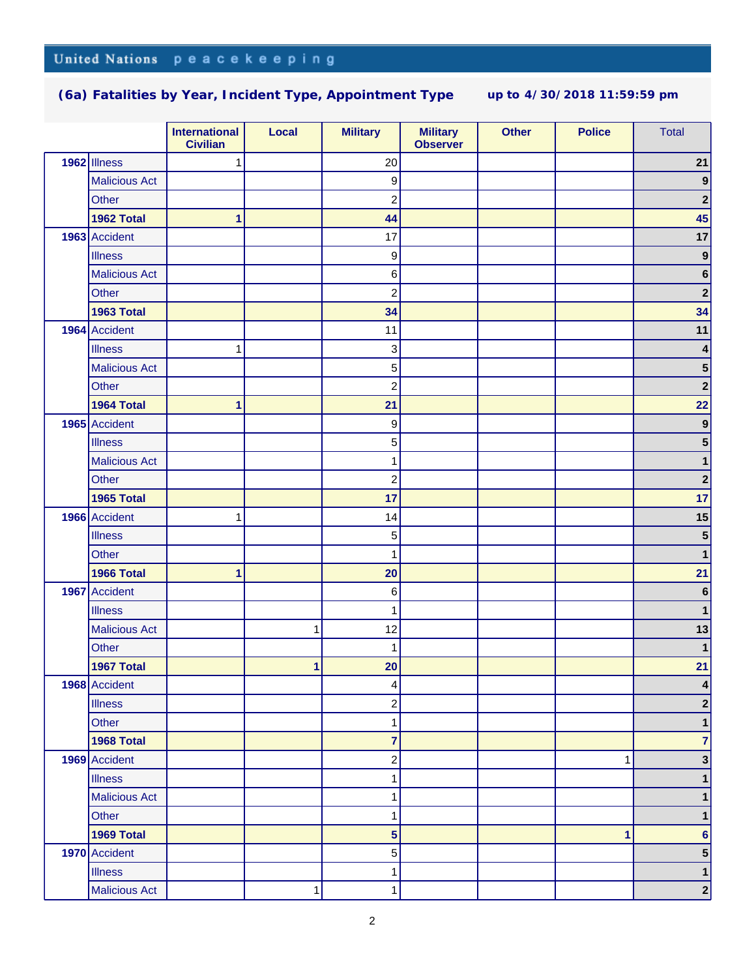|                      | <b>International</b><br><b>Civilian</b> | Local | <b>Military</b>         | <b>Military</b><br><b>Observer</b> | <b>Other</b> | <b>Police</b> | <b>Total</b>     |
|----------------------|-----------------------------------------|-------|-------------------------|------------------------------------|--------------|---------------|------------------|
| 1962 Illness         | 1                                       |       | 20                      |                                    |              |               | 21               |
| <b>Malicious Act</b> |                                         |       | $\boldsymbol{9}$        |                                    |              |               | $\boldsymbol{9}$ |
| Other                |                                         |       | $\boldsymbol{2}$        |                                    |              |               | $\mathbf{2}$     |
| 1962 Total           | 1                                       |       | 44                      |                                    |              |               | 45               |
| 1963 Accident        |                                         |       | 17                      |                                    |              |               | 17               |
| <b>Illness</b>       |                                         |       | $\boldsymbol{9}$        |                                    |              |               | $\boldsymbol{9}$ |
| <b>Malicious Act</b> |                                         |       | 6                       |                                    |              |               | $\bf 6$          |
| Other                |                                         |       | $\boldsymbol{2}$        |                                    |              |               | $\mathbf 2$      |
| 1963 Total           |                                         |       | 34                      |                                    |              |               | 34               |
| 1964 Accident        |                                         |       | 11                      |                                    |              |               | $11$             |
| <b>Illness</b>       | 1                                       |       | 3                       |                                    |              |               | $\pmb{4}$        |
| <b>Malicious Act</b> |                                         |       | 5                       |                                    |              |               | ${\bf 5}$        |
| Other                |                                         |       | $\overline{c}$          |                                    |              |               | $\mathbf{2}$     |
| 1964 Total           | 1                                       |       | 21                      |                                    |              |               | 22               |
| 1965 Accident        |                                         |       | $\boldsymbol{9}$        |                                    |              |               | $\boldsymbol{9}$ |
| <b>Illness</b>       |                                         |       | 5                       |                                    |              |               | 5                |
| <b>Malicious Act</b> |                                         |       | 1                       |                                    |              |               | 1                |
| Other                |                                         |       | $\overline{c}$          |                                    |              |               | $\boldsymbol{2}$ |
| 1965 Total           |                                         |       | 17                      |                                    |              |               | 17               |
| 1966 Accident        | 1                                       |       | 14                      |                                    |              |               | 15               |
| <b>Illness</b>       |                                         |       | 5                       |                                    |              |               | ${\bf 5}$        |
| Other                |                                         |       | 1                       |                                    |              |               | $\mathbf{1}$     |
| 1966 Total           | 1                                       |       | 20                      |                                    |              |               | 21               |
| 1967 Accident        |                                         |       | $\,6$                   |                                    |              |               | $\bf 6$          |
| <b>Illness</b>       |                                         |       | 1                       |                                    |              |               | 1                |
| <b>Malicious Act</b> |                                         | 1     | 12                      |                                    |              |               | 13               |
| Other                |                                         |       | 1                       |                                    |              |               | $\mathbf{1}$     |
| 1967 Total           |                                         | 1     | 20                      |                                    |              |               | 21               |
| 1968 Accident        |                                         |       | $\vert 4 \vert$         |                                    |              |               | 4                |
| <b>Illness</b>       |                                         |       | $\overline{c}$          |                                    |              |               | 2                |
| Other                |                                         |       | $\mathbf{1}$            |                                    |              |               | $\mathbf{1}$     |
| 1968 Total           |                                         |       | $\overline{7}$          |                                    |              |               | $\overline{7}$   |
| 1969 Accident        |                                         |       | $\overline{c}$          |                                    |              | $\mathbf{1}$  | 3 <sup>1</sup>   |
| <b>Illness</b>       |                                         |       | 1                       |                                    |              |               | $\mathbf 1$      |
| <b>Malicious Act</b> |                                         |       | 1                       |                                    |              |               | $\mathbf 1$      |
| Other                |                                         |       | 1                       |                                    |              |               | 1                |
| 1969 Total           |                                         |       | $\overline{\mathbf{5}}$ |                                    |              | 1             | $6\phantom{a}$   |
| 1970 Accident        |                                         |       | 5                       |                                    |              |               | 5                |
| <b>Illness</b>       |                                         |       | 1                       |                                    |              |               | $\mathbf 1$      |
| <b>Malicious Act</b> |                                         | 1     | 1                       |                                    |              |               | $\mathbf{2}$     |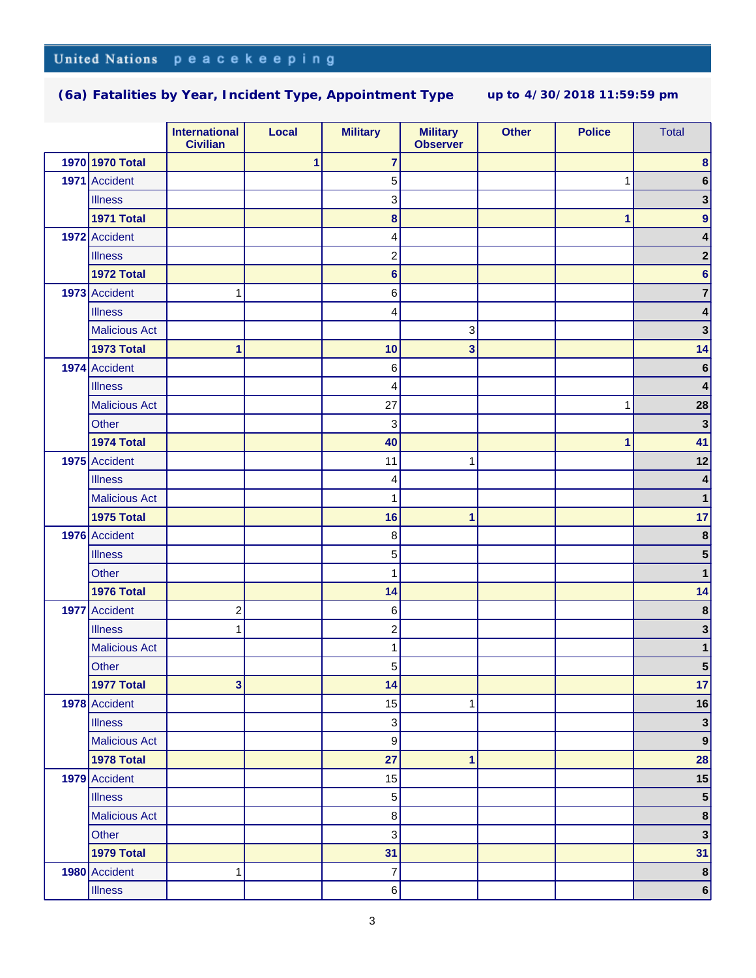|                      | <b>International</b><br><b>Civilian</b> | Local | <b>Military</b>           | <b>Military</b><br><b>Observer</b> | <b>Other</b> | <b>Police</b> | <b>Total</b>     |
|----------------------|-----------------------------------------|-------|---------------------------|------------------------------------|--------------|---------------|------------------|
| 1970 1970 Total      |                                         | 1     | $\overline{7}$            |                                    |              |               | 8                |
| 1971 Accident        |                                         |       | 5                         |                                    |              | 1             | 6                |
| <b>Illness</b>       |                                         |       | 3                         |                                    |              |               | 3                |
| <b>1971 Total</b>    |                                         |       | $\bf{8}$                  |                                    |              | 1             | 9                |
| 1972 Accident        |                                         |       | 4                         |                                    |              |               | 4                |
| <b>Illness</b>       |                                         |       | $\overline{c}$            |                                    |              |               | 2                |
| 1972 Total           |                                         |       | $6\phantom{1}6$           |                                    |              |               | 6                |
| 1973 Accident        | 1                                       |       | 6                         |                                    |              |               | 7                |
| <b>Illness</b>       |                                         |       | 4                         |                                    |              |               | 4                |
| <b>Malicious Act</b> |                                         |       |                           | 3                                  |              |               | 3                |
| <b>1973 Total</b>    | 1                                       |       | 10                        | 3                                  |              |               | 14               |
| 1974 Accident        |                                         |       | $\,6$                     |                                    |              |               | $\bf 6$          |
| <b>Illness</b>       |                                         |       | 4                         |                                    |              |               | 4                |
| <b>Malicious Act</b> |                                         |       | 27                        |                                    |              | 1             | 28               |
| Other                |                                         |       | 3                         |                                    |              |               | $\mathbf{3}$     |
| 1974 Total           |                                         |       | 40                        |                                    |              | 1             | 41               |
| 1975 Accident        |                                         |       | 11                        | 1                                  |              |               | 12               |
| <b>Illness</b>       |                                         |       | 4                         |                                    |              |               |                  |
| <b>Malicious Act</b> |                                         |       | 1                         |                                    |              |               |                  |
| <b>1975 Total</b>    |                                         |       | 16                        | 1                                  |              |               | 17               |
| 1976 Accident        |                                         |       | 8                         |                                    |              |               | 8                |
| <b>Illness</b>       |                                         |       | 5                         |                                    |              |               | 5                |
| Other                |                                         |       | 1                         |                                    |              |               |                  |
| 1976 Total           |                                         |       | 14                        |                                    |              |               | 14               |
| 1977 Accident        | $\overline{\mathbf{c}}$                 |       | 6                         |                                    |              |               | $\pmb{8}$        |
| <b>Illness</b>       | 1                                       |       | $\overline{c}$            |                                    |              |               | 3                |
| <b>Malicious Act</b> |                                         |       | 1                         |                                    |              |               | 1                |
| Other                |                                         |       | $\mathbf 5$               |                                    |              |               | 5                |
| 1977 Total           | 3 <sup>1</sup>                          |       | 14                        |                                    |              |               | 17               |
| 1978 Accident        |                                         |       | 15                        | 1                                  |              |               | 16               |
| <b>Illness</b>       |                                         |       | $\sqrt{3}$                |                                    |              |               | $\mathbf{3}$     |
| <b>Malicious Act</b> |                                         |       | $\boldsymbol{9}$          |                                    |              |               | $\boldsymbol{9}$ |
| 1978 Total           |                                         |       | 27                        | 1                                  |              |               | 28               |
| 1979 Accident        |                                         |       | 15                        |                                    |              |               | 15               |
| <b>Illness</b>       |                                         |       | $\mathbf 5$               |                                    |              |               | 5 <sup>5</sup>   |
| <b>Malicious Act</b> |                                         |       | $\bf8$                    |                                    |              |               | $\boldsymbol{8}$ |
| Other                |                                         |       | $\ensuremath{\mathsf{3}}$ |                                    |              |               | $\mathbf{3}$     |
| 1979 Total           |                                         |       | 31                        |                                    |              |               | 31               |
| 1980 Accident        | 1                                       |       | $\overline{7}$            |                                    |              |               | $\pmb{8}$        |
| <b>Illness</b>       |                                         |       | 6                         |                                    |              |               | $\overline{6}$   |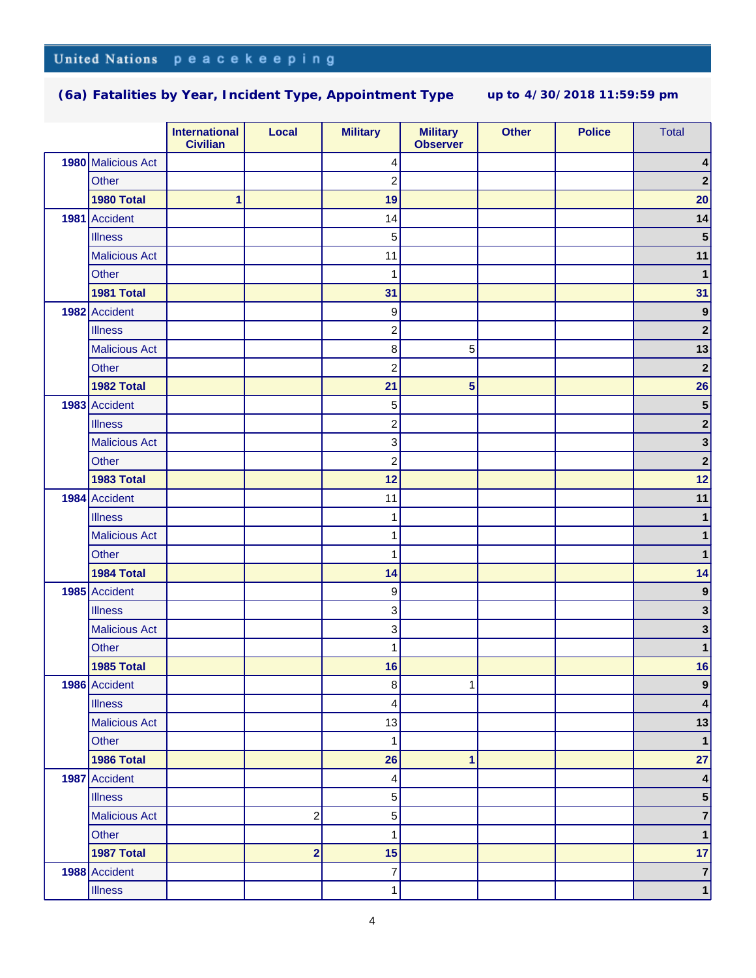|                      | <b>International</b><br><b>Civilian</b> | Local                   | <b>Military</b>         | <b>Military</b><br><b>Observer</b> | <b>Other</b> | <b>Police</b> | <b>Total</b>            |
|----------------------|-----------------------------------------|-------------------------|-------------------------|------------------------------------|--------------|---------------|-------------------------|
| 1980 Malicious Act   |                                         |                         | 4                       |                                    |              |               | 4                       |
| Other                |                                         |                         | $\overline{2}$          |                                    |              |               | $\mathbf 2$             |
| 1980 Total           | 1                                       |                         | 19                      |                                    |              |               | 20                      |
| 1981 Accident        |                                         |                         | 14                      |                                    |              |               | 14                      |
| <b>Illness</b>       |                                         |                         | 5                       |                                    |              |               | $\overline{\mathbf{5}}$ |
| <b>Malicious Act</b> |                                         |                         | 11                      |                                    |              |               | 11                      |
| Other                |                                         |                         | 1                       |                                    |              |               | $\mathbf{1}$            |
| 1981 Total           |                                         |                         | 31                      |                                    |              |               | 31                      |
| 1982 Accident        |                                         |                         | $\boldsymbol{9}$        |                                    |              |               | $\boldsymbol{9}$        |
| <b>Illness</b>       |                                         |                         | $\overline{c}$          |                                    |              |               | $\mathbf 2$             |
| <b>Malicious Act</b> |                                         |                         | $\bf{8}$                | 5                                  |              |               | 13                      |
| Other                |                                         |                         | $\overline{c}$          |                                    |              |               | $\mathbf 2$             |
| 1982 Total           |                                         |                         | 21                      | 5                                  |              |               | 26                      |
| 1983 Accident        |                                         |                         | 5                       |                                    |              |               | $\overline{\mathbf{5}}$ |
| <b>Illness</b>       |                                         |                         | $\overline{c}$          |                                    |              |               | $\mathbf 2$             |
| <b>Malicious Act</b> |                                         |                         | $\overline{3}$          |                                    |              |               | $\mathbf{3}$            |
| Other                |                                         |                         | $\overline{c}$          |                                    |              |               | $\mathbf 2$             |
| 1983 Total           |                                         |                         | 12                      |                                    |              |               | 12                      |
| 1984 Accident        |                                         |                         | 11                      |                                    |              |               | 11                      |
| <b>Illness</b>       |                                         |                         | 1                       |                                    |              |               | 1                       |
| <b>Malicious Act</b> |                                         |                         | 1                       |                                    |              |               | 1                       |
| Other                |                                         |                         | 1                       |                                    |              |               | 1                       |
| 1984 Total           |                                         |                         | 14                      |                                    |              |               | 14                      |
| 1985 Accident        |                                         |                         | $\boldsymbol{9}$        |                                    |              |               | $\boldsymbol{9}$        |
| <b>Illness</b>       |                                         |                         | $\overline{3}$          |                                    |              |               | 3                       |
| <b>Malicious Act</b> |                                         |                         | $\overline{3}$          |                                    |              |               | 3                       |
| Other                |                                         |                         | 1                       |                                    |              |               | 1                       |
| 1985 Total           |                                         |                         | 16                      |                                    |              |               | 16                      |
| 1986 Accident        |                                         |                         | 8                       | 1                                  |              |               | $\vert 9 \vert$         |
| <b>Illness</b>       |                                         |                         | $\vert$                 |                                    |              |               | 4                       |
| <b>Malicious Act</b> |                                         |                         | 13                      |                                    |              |               | 13                      |
| Other                |                                         |                         | 1                       |                                    |              |               | $\mathbf{1}$            |
| 1986 Total           |                                         |                         | 26                      | 1                                  |              |               | 27                      |
| 1987 Accident        |                                         |                         | $\vert 4 \vert$         |                                    |              |               | $\pmb{4}$               |
| <b>Illness</b>       |                                         |                         | $5\overline{)}$         |                                    |              |               | 5 <sup>5</sup>          |
| <b>Malicious Act</b> |                                         | $\overline{\mathbf{c}}$ | $5\overline{)}$         |                                    |              |               | $\overline{\mathbf{7}}$ |
| Other                |                                         |                         | 1                       |                                    |              |               | $\mathbf{1}$            |
| 1987 Total           |                                         | $\overline{\mathbf{2}}$ | 15                      |                                    |              |               | 17                      |
| 1988 Accident        |                                         |                         | $\overline{\mathbf{7}}$ |                                    |              |               | $\bf 7$                 |
| <b>Illness</b>       |                                         |                         | 1                       |                                    |              |               | $\mathbf 1$             |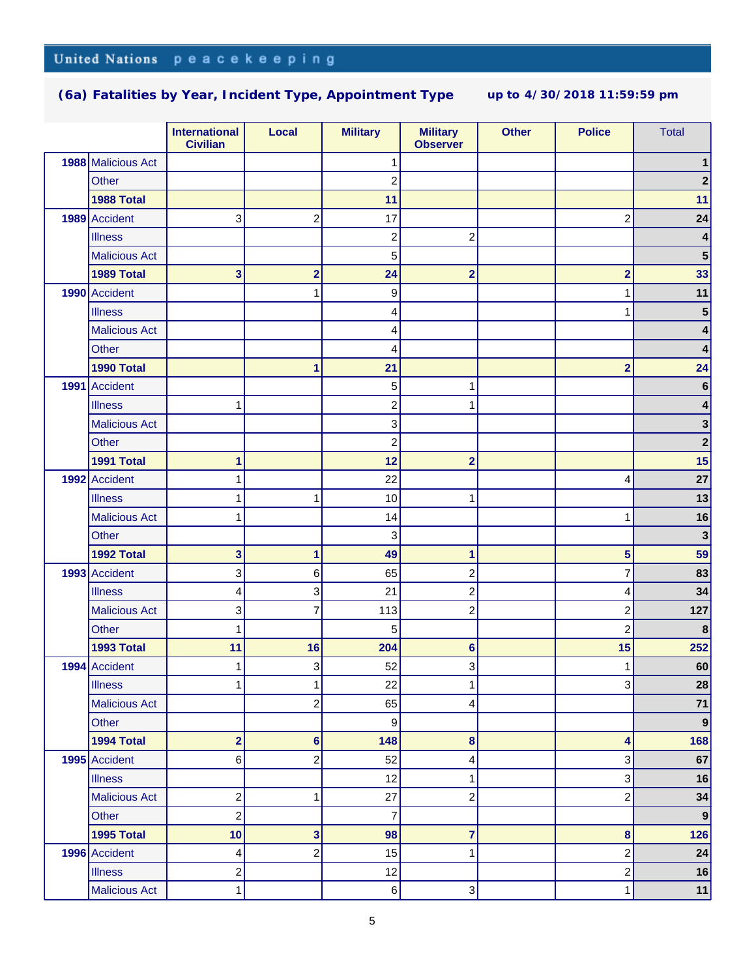|      |                      | <b>International</b><br><b>Civilian</b> | Local                   | <b>Military</b>         | <b>Military</b><br><b>Observer</b> | <b>Other</b> | <b>Police</b>           | <b>Total</b>     |
|------|----------------------|-----------------------------------------|-------------------------|-------------------------|------------------------------------|--------------|-------------------------|------------------|
|      | 1988 Malicious Act   |                                         |                         | 1                       |                                    |              |                         |                  |
|      | <b>Other</b>         |                                         |                         | $\overline{c}$          |                                    |              |                         |                  |
|      | 1988 Total           |                                         |                         | 11                      |                                    |              |                         | 11               |
|      | 1989 Accident        | 3                                       | $\overline{c}$          | 17                      |                                    |              | $\overline{c}$          | 24               |
|      | <b>Illness</b>       |                                         |                         | $\overline{\mathbf{c}}$ | 2                                  |              |                         | 4                |
|      | <b>Malicious Act</b> |                                         |                         | 5                       |                                    |              |                         | 5                |
|      | 1989 Total           | 3                                       | $\overline{\mathbf{c}}$ | 24                      | $\overline{\mathbf{2}}$            |              | $\overline{\mathbf{2}}$ | 33               |
|      | 1990 Accident        |                                         | 1                       | $\overline{9}$          |                                    |              | 1                       | 11               |
|      | <b>Illness</b>       |                                         |                         | 4                       |                                    |              |                         | 5                |
|      | <b>Malicious Act</b> |                                         |                         | 4                       |                                    |              |                         |                  |
|      | Other                |                                         |                         | 4                       |                                    |              |                         | 4                |
|      | 1990 Total           |                                         | 1                       | 21                      |                                    |              | $\overline{\mathbf{2}}$ | 24               |
| 1991 | Accident             |                                         |                         | 5                       | 1                                  |              |                         | 6                |
|      | <b>Illness</b>       | 1                                       |                         | $\overline{\mathbf{c}}$ | 1                                  |              |                         |                  |
|      | <b>Malicious Act</b> |                                         |                         | 3                       |                                    |              |                         | 3                |
|      | <b>Other</b>         |                                         |                         | $\overline{\mathbf{c}}$ |                                    |              |                         | $\mathbf{2}$     |
|      | 1991 Total           | 1                                       |                         | 12                      | $\overline{2}$                     |              |                         | 15               |
|      | 1992 Accident        | 1                                       |                         | 22                      |                                    |              | 4                       | 27               |
|      | <b>Illness</b>       | 1                                       | 1                       | 10                      | 1                                  |              |                         | 13               |
|      | <b>Malicious Act</b> | 1                                       |                         | 14                      |                                    |              | 1                       | 16               |
|      | Other                |                                         |                         | 3                       |                                    |              |                         | $\mathbf{3}$     |
|      | 1992 Total           | 3                                       | 1                       | 49                      | 1                                  |              | 5                       | 59               |
|      | 1993 Accident        | 3                                       | 6                       | 65                      | 2                                  |              | 7                       | 83               |
|      | <b>Illness</b>       | 4                                       | 3                       | 21                      | 2                                  |              | 4                       | 34               |
|      | <b>Malicious Act</b> | 3                                       | $\overline{7}$          | 113                     | $\overline{\mathbf{c}}$            |              | $\overline{c}$          | 127              |
|      | <b>Other</b>         | 1                                       |                         | 5                       |                                    |              | $\overline{c}$          | 8                |
|      | 1993 Total           | 11                                      | 16                      | 204                     | 6                                  |              | 15                      | 252              |
|      | 1994 Accident        | 1                                       | 3                       | 52                      | 3                                  |              | 1                       | 60               |
|      | <b>Illness</b>       | 1                                       | 1                       | 22                      | 1                                  |              | 3                       | 28               |
|      | <b>Malicious Act</b> |                                         | $\overline{c}$          | 65                      | 4                                  |              |                         | $71$             |
|      | Other                |                                         |                         | 9                       |                                    |              |                         | $\boldsymbol{9}$ |
|      | 1994 Total           | $\overline{\mathbf{2}}$                 | $6\phantom{1}6$         | 148                     | $\bf8$                             |              | 4                       | 168              |
|      | 1995 Accident        | 6                                       | $\overline{c}$          | 52                      | 4                                  |              | 3                       | 67               |
|      | <b>Illness</b>       |                                         |                         | 12                      | 1                                  |              | 3                       | 16               |
|      | <b>Malicious Act</b> | $\overline{\mathbf{c}}$                 | 1                       | 27                      | $\overline{\mathbf{c}}$            |              | $\overline{c}$          | 34               |
|      | Other                | $\overline{\mathbf{c}}$                 |                         | $\overline{7}$          |                                    |              |                         | $\boldsymbol{9}$ |
|      | 1995 Total           | 10                                      | 3                       | 98                      | 7                                  |              | 8                       | 126              |
|      | 1996 Accident        | 4                                       | $\overline{c}$          | 15                      | 1                                  |              | $\boldsymbol{2}$        | 24               |
|      | <b>Illness</b>       | 2                                       |                         | 12                      |                                    |              | $\boldsymbol{2}$        | 16               |
|      | <b>Malicious Act</b> | 1                                       |                         | $6 \overline{6}$        | 3                                  |              | 1                       | 11               |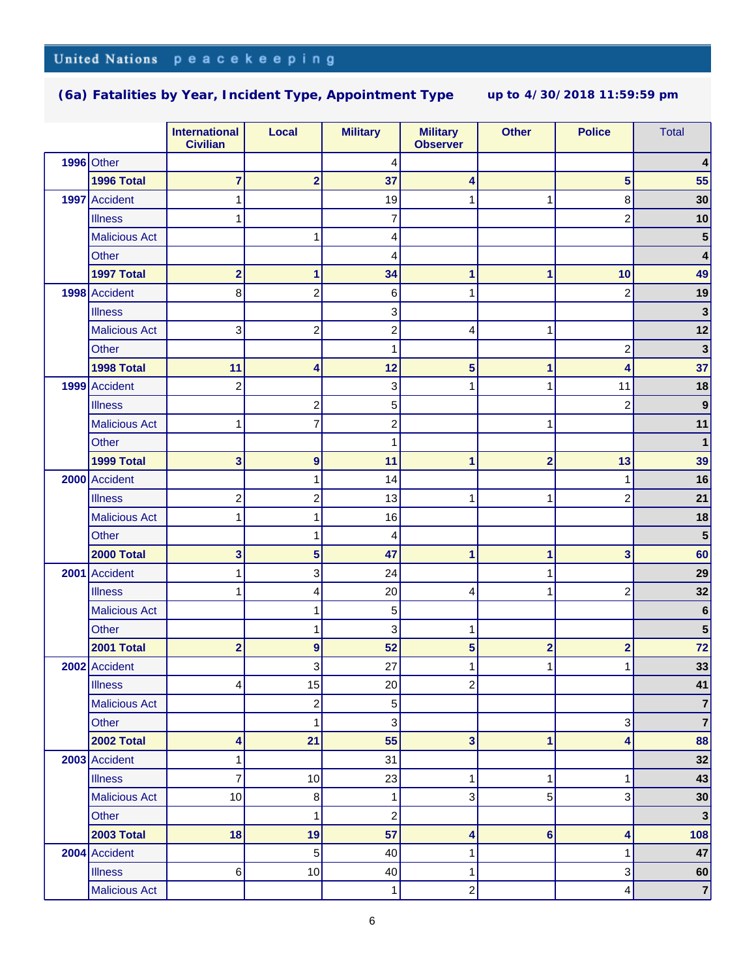|                      | <b>International</b><br><b>Civilian</b> | Local                   | <b>Military</b>         | <b>Military</b><br><b>Observer</b> | <b>Other</b>            | <b>Police</b>           | <b>Total</b>            |
|----------------------|-----------------------------------------|-------------------------|-------------------------|------------------------------------|-------------------------|-------------------------|-------------------------|
| $1996$ Other         |                                         |                         | 4                       |                                    |                         |                         |                         |
| 1996 Total           | 7                                       | $\overline{\mathbf{2}}$ | 37                      | 4                                  |                         | 5                       | 55                      |
| 1997 Accident        | 1                                       |                         | 19                      | 1                                  | 1                       | 8                       | 30                      |
| <b>Illness</b>       | 1                                       |                         | 7                       |                                    |                         | $\overline{c}$          | 10                      |
| <b>Malicious Act</b> |                                         | 1                       | 4                       |                                    |                         |                         | 5                       |
| Other                |                                         |                         | 4                       |                                    |                         |                         | 4                       |
| 1997 Total           | $\overline{\mathbf{2}}$                 | 1                       | 34                      | 1                                  | 1                       | 10                      | 49                      |
| 1998 Accident        | 8                                       | $\overline{c}$          | $6 \mid$                | 1                                  |                         | $\overline{c}$          | 19                      |
| <b>Illness</b>       |                                         |                         | 3                       |                                    |                         |                         | 3                       |
| <b>Malicious Act</b> | 3                                       | $\overline{c}$          | $\overline{c}$          | 4                                  | 1                       |                         | 12                      |
| Other                |                                         |                         | 1                       |                                    |                         | 2                       | $\mathbf{3}$            |
| 1998 Total           | 11                                      | 4                       | 12                      | 5                                  | 1                       | 4                       | 37                      |
| 1999 Accident        | 2                                       |                         | 3                       | 1                                  | 1                       | 11                      | 18                      |
| <b>Illness</b>       |                                         | $\overline{\mathbf{c}}$ | $\mathbf 5$             |                                    |                         | $\overline{\mathbf{c}}$ | 9                       |
| <b>Malicious Act</b> | 1                                       | 7                       | $\overline{\mathbf{c}}$ |                                    | 1                       |                         | 11                      |
| <b>Other</b>         |                                         |                         | 1                       |                                    |                         |                         | 1                       |
| 1999 Total           | 3                                       | 9                       | 11                      | 1                                  | $\overline{\mathbf{2}}$ | 13                      | 39                      |
| 2000 Accident        |                                         | 1                       | 14                      |                                    |                         | 1                       | 16                      |
| <b>Illness</b>       | 2                                       | $\overline{\mathbf{c}}$ | 13                      | 1                                  | 1                       | $\overline{c}$          | 21                      |
| <b>Malicious Act</b> | 1                                       | 1                       | 16                      |                                    |                         |                         | 18                      |
| Other                |                                         | 1                       | 4                       |                                    |                         |                         | 5                       |
| 2000 Total           | 3                                       | 5                       | 47                      | 1                                  | 1                       | 3                       | 60                      |
| 2001 Accident        | 1                                       | 3                       | 24                      |                                    | 1                       |                         | 29                      |
| <b>Illness</b>       | 1                                       | 4                       | 20                      | 4                                  | 1                       | $\overline{c}$          | 32                      |
| <b>Malicious Act</b> |                                         | 1                       | 5                       |                                    |                         |                         | $\bf 6$                 |
| <b>Other</b>         |                                         | 1                       | 3                       | 1                                  |                         |                         | 5                       |
| 2001 Total           | $\overline{\mathbf{2}}$                 | 9                       | 52                      | 5                                  | $\overline{\mathbf{2}}$ | $\overline{\mathbf{2}}$ | 72                      |
| 2002 Accident        |                                         | 3                       | 27                      |                                    | 1                       | 1                       | 33                      |
| <b>Illness</b>       | 4                                       | 15                      | 20                      | $\overline{\mathbf{c}}$            |                         |                         | 41                      |
| <b>Malicious Act</b> |                                         | $\overline{c}$          | 5 <sup>1</sup>          |                                    |                         |                         | 7                       |
| Other                |                                         | 1                       | 3                       |                                    |                         | 3                       | $\overline{\mathbf{7}}$ |
| 2002 Total           | 4                                       | 21                      | 55                      | 3                                  | 1                       | 4                       | 88                      |
| 2003 Accident        | 1                                       |                         | 31                      |                                    |                         |                         | 32                      |
| <b>Illness</b>       | 7                                       | 10                      | 23                      | 1                                  | 1                       | 1                       | 43                      |
| <b>Malicious Act</b> | 10                                      | 8                       | $\mathbf{1}$            | 3                                  | 5                       | 3                       | 30                      |
| Other                |                                         | 1                       | $\overline{c}$          |                                    |                         |                         | $\mathbf{3}$            |
| <b>2003 Total</b>    | 18                                      | 19                      | 57                      | 4                                  | $6\phantom{1}6$         | 4                       | 108                     |
| 2004 Accident        |                                         | $\sqrt{5}$              | 40                      | 1                                  |                         | 1                       | 47                      |
| <b>Illness</b>       | 6                                       | $10$                    | 40                      | 1                                  |                         | 3                       | 60                      |
| <b>Malicious Act</b> |                                         |                         | 1                       | 2                                  |                         | 4                       | $\overline{7}$          |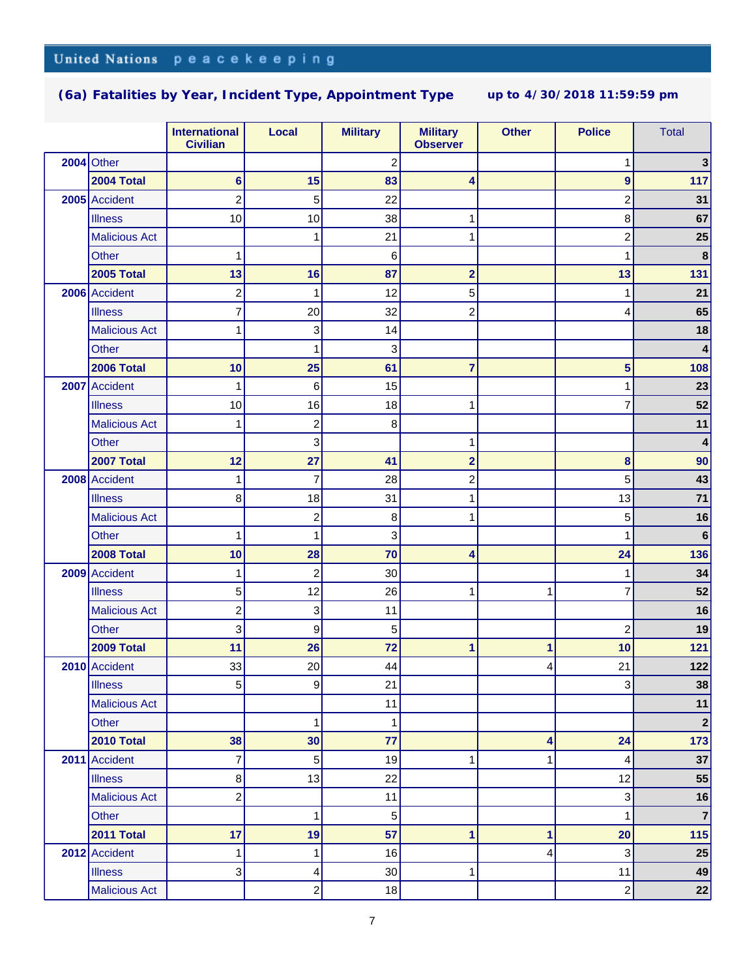|                      | <b>International</b><br><b>Civilian</b> | Local          | <b>Military</b>         | <b>Military</b><br><b>Observer</b> | <b>Other</b> | <b>Police</b>           | <b>Total</b>            |
|----------------------|-----------------------------------------|----------------|-------------------------|------------------------------------|--------------|-------------------------|-------------------------|
| $2004$ Other         |                                         |                | $\overline{\mathbf{c}}$ |                                    |              | 1                       | 3                       |
| 2004 Total           | $6\phantom{1}$                          | 15             | 83                      | 4                                  |              | $\overline{9}$          | 117                     |
| 2005 Accident        | $\overline{c}$                          | 5              | 22                      |                                    |              | $\overline{\mathbf{c}}$ | 31                      |
| <b>Illness</b>       | 10                                      | 10             | 38                      | 1                                  |              | 8                       | 67                      |
| <b>Malicious Act</b> |                                         | 1              | 21                      | 1                                  |              | $\overline{\mathbf{c}}$ | 25                      |
| Other                | 1                                       |                | 6                       |                                    |              | 1                       | $\bf8$                  |
| <b>2005 Total</b>    | 13                                      | 16             | 87                      | 2                                  |              | 13                      | 131                     |
| 2006 Accident        | 2                                       | 1              | 12                      | 5                                  |              | 1                       | 21                      |
| <b>Illness</b>       | 7                                       | 20             | 32                      | 2                                  |              | 4                       | 65                      |
| <b>Malicious Act</b> | 1                                       | 3              | 14                      |                                    |              |                         | 18                      |
| Other                |                                         | 1              | 3                       |                                    |              |                         | $\overline{\mathbf{4}}$ |
| <b>2006 Total</b>    | 10                                      | 25             | 61                      | $\overline{7}$                     |              | 5                       | 108                     |
| 2007 Accident        | 1                                       | 6              | 15                      |                                    |              | 1                       | 23                      |
| <b>Illness</b>       | 10                                      | 16             | 18                      | 1                                  |              | 7                       | 52                      |
| <b>Malicious Act</b> | 1                                       | $\overline{c}$ | 8                       |                                    |              |                         | 11                      |
| Other                |                                         | 3              |                         | 1                                  |              |                         | 4                       |
| <b>2007 Total</b>    | 12                                      | 27             | 41                      | $\overline{\mathbf{2}}$            |              | 8                       | 90                      |
| 2008 Accident        | 1                                       | $\overline{7}$ | 28                      | $\overline{\mathbf{c}}$            |              | 5                       | 43                      |
| <b>Illness</b>       | 8                                       | 18             | 31                      | 1                                  |              | 13                      | 71                      |
| <b>Malicious Act</b> |                                         | $\overline{c}$ | 8                       | 1                                  |              | 5                       | 16                      |
| Other                | 1                                       | 1              | 3                       |                                    |              | 1                       | $\bf 6$                 |
| 2008 Total           | 10                                      | 28             | 70                      | 4                                  |              | 24                      | 136                     |
| 2009 Accident        | 1                                       | $\overline{c}$ | 30                      |                                    |              | 1                       | 34                      |
| <b>Illness</b>       | 5                                       | 12             | 26                      | 1                                  | 1            | 7                       | 52                      |
| <b>Malicious Act</b> | $\overline{\mathbf{c}}$                 | 3              | 11                      |                                    |              |                         | 16                      |
| Other                | 3                                       | 9              | 5                       |                                    |              | $\overline{\mathbf{c}}$ | 19                      |
| 2009 Total           | 11                                      | 26             | 72                      | 1                                  | 1            | 10                      | 121                     |
| 2010 Accident        | 33                                      | 20             | 44                      |                                    | 4            | 21                      | 122                     |
| <b>Illness</b>       | 5                                       | 9              | 21                      |                                    |              | $\mathbf{3}$            | 38                      |
| <b>Malicious Act</b> |                                         |                | 11                      |                                    |              |                         | 11                      |
| Other                |                                         | 1              | 1                       |                                    |              |                         | $\boldsymbol{2}$        |
| 2010 Total           | 38                                      | 30             | 77                      |                                    | 4            | 24                      | 173                     |
| 2011 Accident        | 7                                       | 5              | 19                      | 1                                  | 1            | 4                       | 37                      |
| <b>Illness</b>       | 8                                       | 13             | 22                      |                                    |              | 12                      | 55                      |
| <b>Malicious Act</b> | 2                                       |                | 11                      |                                    |              | 3                       | 16                      |
| Other                |                                         | 1              | 5                       |                                    |              | 1                       | $\overline{7}$          |
| 2011 Total           | 17                                      | 19             | 57                      | 1                                  | 1            | 20                      | 115                     |
| 2012 Accident        | 1                                       | 1              | 16                      |                                    | 4            | 3                       | 25                      |
| <b>Illness</b>       | 3                                       | 4              | 30                      | 1                                  |              | 11                      | 49                      |
| <b>Malicious Act</b> |                                         | $\overline{c}$ | 18                      |                                    |              | $\mathbf{2}$            | 22                      |